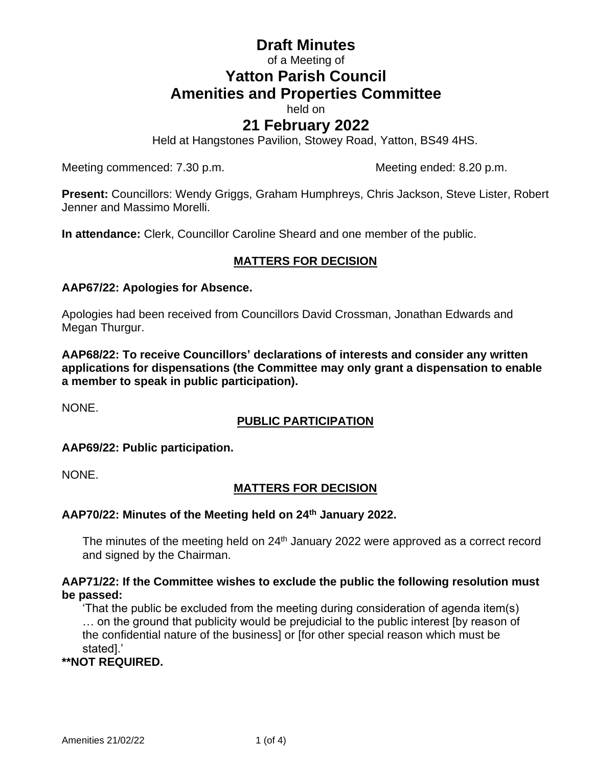# **Draft Minutes** of a Meeting of **Yatton Parish Council Amenities and Properties Committee**

held on

## **21 February 2022**

Held at Hangstones Pavilion, Stowey Road, Yatton, BS49 4HS.

Meeting commenced: 7.30 p.m. Meeting ended: 8.20 p.m.

**Present:** Councillors: Wendy Griggs, Graham Humphreys, Chris Jackson, Steve Lister, Robert Jenner and Massimo Morelli.

**In attendance:** Clerk, Councillor Caroline Sheard and one member of the public.

## **MATTERS FOR DECISION**

#### **AAP67/22: Apologies for Absence.**

Apologies had been received from Councillors David Crossman, Jonathan Edwards and Megan Thurgur.

**AAP68/22: To receive Councillors' declarations of interests and consider any written applications for dispensations (the Committee may only grant a dispensation to enable a member to speak in public participation).**

NONE.

## **PUBLIC PARTICIPATION**

#### **AAP69/22: Public participation.**

NONE.

## **MATTERS FOR DECISION**

#### **AAP70/22: Minutes of the Meeting held on 24th January 2022.**

The minutes of the meeting held on 24<sup>th</sup> January 2022 were approved as a correct record and signed by the Chairman.

#### **AAP71/22: If the Committee wishes to exclude the public the following resolution must be passed:**

'That the public be excluded from the meeting during consideration of agenda item(s) … on the ground that publicity would be prejudicial to the public interest [by reason of the confidential nature of the business] or [for other special reason which must be stated].'

**\*\*NOT REQUIRED.**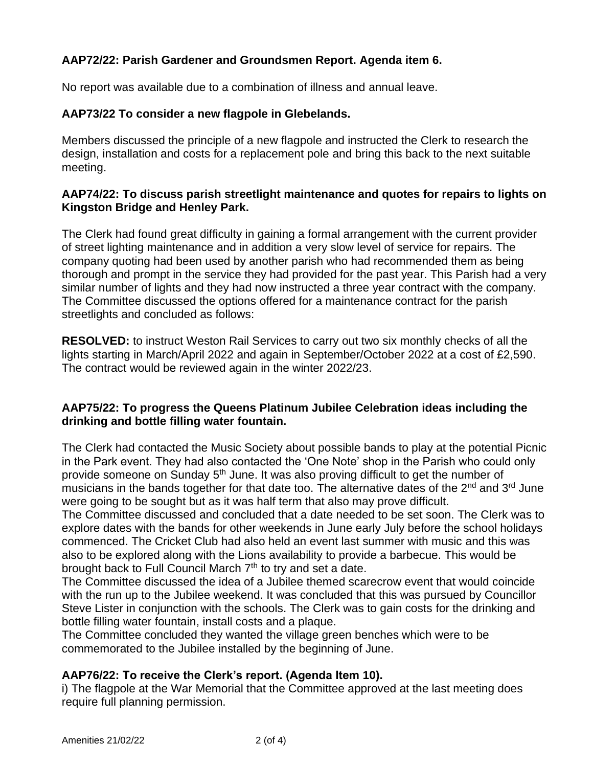## **AAP72/22: Parish Gardener and Groundsmen Report. Agenda item 6.**

No report was available due to a combination of illness and annual leave.

#### **AAP73/22 To consider a new flagpole in Glebelands.**

Members discussed the principle of a new flagpole and instructed the Clerk to research the design, installation and costs for a replacement pole and bring this back to the next suitable meeting.

#### **AAP74/22: To discuss parish streetlight maintenance and quotes for repairs to lights on Kingston Bridge and Henley Park.**

The Clerk had found great difficulty in gaining a formal arrangement with the current provider of street lighting maintenance and in addition a very slow level of service for repairs. The company quoting had been used by another parish who had recommended them as being thorough and prompt in the service they had provided for the past year. This Parish had a very similar number of lights and they had now instructed a three year contract with the company. The Committee discussed the options offered for a maintenance contract for the parish streetlights and concluded as follows:

**RESOLVED:** to instruct Weston Rail Services to carry out two six monthly checks of all the lights starting in March/April 2022 and again in September/October 2022 at a cost of £2,590. The contract would be reviewed again in the winter 2022/23.

## **AAP75/22: To progress the Queens Platinum Jubilee Celebration ideas including the drinking and bottle filling water fountain.**

The Clerk had contacted the Music Society about possible bands to play at the potential Picnic in the Park event. They had also contacted the 'One Note' shop in the Parish who could only provide someone on Sunday 5<sup>th</sup> June. It was also proving difficult to get the number of musicians in the bands together for that date too. The alternative dates of the  $2^{nd}$  and  $3^{rd}$  June were going to be sought but as it was half term that also may prove difficult.

The Committee discussed and concluded that a date needed to be set soon. The Clerk was to explore dates with the bands for other weekends in June early July before the school holidays commenced. The Cricket Club had also held an event last summer with music and this was also to be explored along with the Lions availability to provide a barbecue. This would be brought back to Full Council March 7<sup>th</sup> to try and set a date.

The Committee discussed the idea of a Jubilee themed scarecrow event that would coincide with the run up to the Jubilee weekend. It was concluded that this was pursued by Councillor Steve Lister in conjunction with the schools. The Clerk was to gain costs for the drinking and bottle filling water fountain, install costs and a plaque.

The Committee concluded they wanted the village green benches which were to be commemorated to the Jubilee installed by the beginning of June.

## **AAP76/22: To receive the Clerk's report. (Agenda Item 10).**

i) The flagpole at the War Memorial that the Committee approved at the last meeting does require full planning permission.